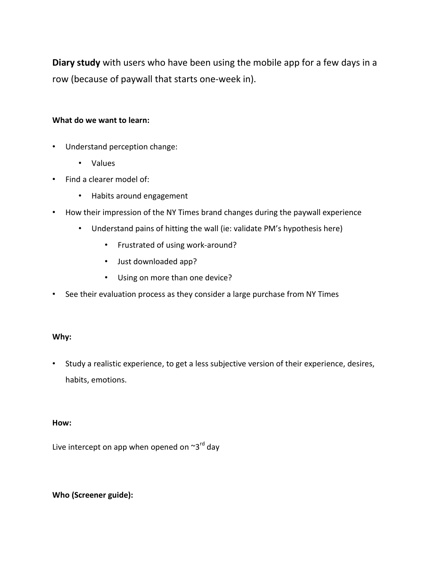**Diary study** with users who have been using the mobile app for a few days in a row (because of paywall that starts one-week in).

### **What do we want to learn:**

- Understand perception change:
	- Values
- Find a clearer model of:
	- Habits around engagement
- How their impression of the NY Times brand changes during the paywall experience
	- Understand pains of hitting the wall (ie: validate PM's hypothesis here)
		- Frustrated of using work-around?
		- Just downloaded app?
		- Using on more than one device?
- See their evaluation process as they consider a large purchase from NY Times

#### **Why:**

• Study a realistic experience, to get a less subjective version of their experience, desires, habits, emotions.

#### **How:**

Live intercept on app when opened on  $\sim 3^{rd}$  day

# **Who (Screener guide):**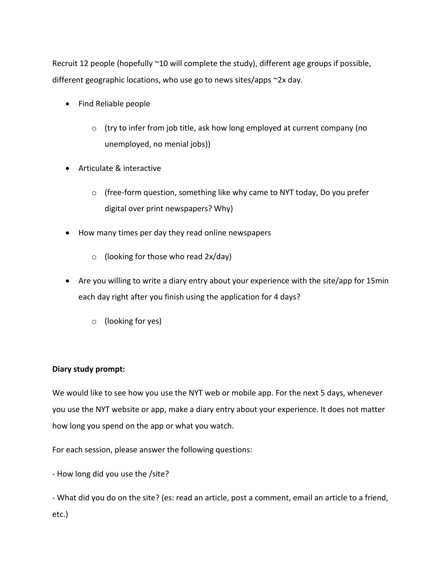Recruit 12 people (hopefully ~10 will complete the study), different age groups if possible, different geographic locations, who use go to news sites/apps ~2x day.

- Find Reliable people
	- o (try to infer from job title, ask how long employed at current company (no unemployed, no menial jobs))
- Articulate & interactive
	- o (free-form question, something like why came to NYT today, Do you prefer digital over print newspapers? Why)
- How many times per day they read online newspapers
	- $\circ$  (looking for those who read 2x/day)
- Are you willing to write a diary entry about your experience with the site/app for 15min each day right after you finish using the application for 4 days?
	- o (looking for yes)

# **Diary study prompt:**

We would like to see how you use the NYT web or mobile app. For the next 5 days, whenever you use the NYT website or app, make a diary entry about your experience. It does not matter how long you spend on the app or what you watch.

For each session, please answer the following questions:

- How long did you use the /site?

- What did you do on the site? (es: read an article, post a comment, email an article to a friend, etc.)